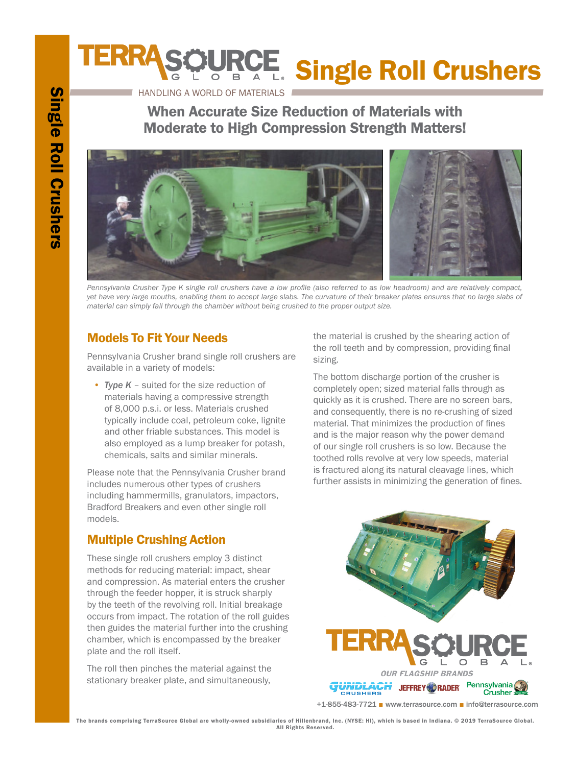# Single Roll Crushers

When Accurate Size Reduction of Materials with Moderate to High Compression Strength Matters!



*Pennsylvania Crusher Type K single roll crushers have a low profile (also referred to as low headroom) and are relatively compact, yet have very large mouths, enabling them to accept large slabs. The curvature of their breaker plates ensures that no large slabs of material can simply fall through the chamber without being crushed to the proper output size.*

### Models To Fit Your Needs

Pennsylvania Crusher brand single roll crushers are available in a variety of models:

HANDLING A WORLD OF MATERIALS

• *Type K* – suited for the size reduction of materials having a compressive strength of 8,000 p.s.i. or less. Materials crushed typically include coal, petroleum coke, lignite and other friable substances. This model is also employed as a lump breaker for potash, chemicals, salts and similar minerals.

Please note that the Pennsylvania Crusher brand includes numerous other types of crushers including hammermills, granulators, impactors, Bradford Breakers and even other single roll models.

## Multiple Crushing Action

These single roll crushers employ 3 distinct methods for reducing material: impact, shear and compression. As material enters the crusher through the feeder hopper, it is struck sharply by the teeth of the revolving roll. Initial breakage occurs from impact. The rotation of the roll guides then guides the material further into the crushing chamber, which is encompassed by the breaker plate and the roll itself.

The roll then pinches the material against the stationary breaker plate, and simultaneously,

the material is crushed by the shearing action of the roll teeth and by compression, providing final sizing.

The bottom discharge portion of the crusher is completely open; sized material falls through as quickly as it is crushed. There are no screen bars, and consequently, there is no re-crushing of sized material. That minimizes the production of fines and is the major reason why the power demand of our single roll crushers is so low. Because the toothed rolls revolve at very low speeds, material is fractured along its natural cleavage lines, which further assists in minimizing the generation of fines.



The brands comprising TerraSource Global are wholly-owned subsidiaries of Hillenbrand, Inc. (NYSE: HI), which is based in Indiana. © 2019 TerraSource Global. All Rights Reserved.